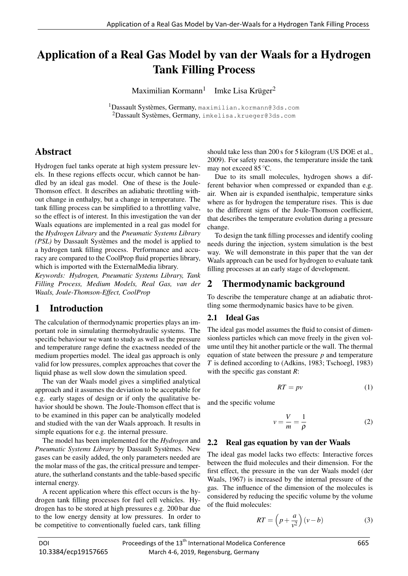# Application of a Real Gas Model by van der Waals for a Hydrogen Tank Filling Process

Maximilian Kormann<sup>1</sup> Imke Lisa Krüger<sup>2</sup>

<sup>1</sup>Dassault Systèmes, Germany, maximilian.kormann@3ds.com <sup>2</sup>Dassault Systèmes, Germany, imkelisa.krueger@3ds.com

## Abstract

Hydrogen fuel tanks operate at high system pressure levels. In these regions effects occur, which cannot be handled by an ideal gas model. One of these is the Joule-Thomson effect. It describes an adiabatic throttling without change in enthalpy, but a change in temperature. The tank filling process can be simplified to a throttling valve, so the effect is of interest. In this investigation the van der Waals equations are implemented in a real gas model for the *Hydrogen Library* and the *Pneumatic Systems Library (PSL)* by Dassault Systèmes and the model is applied to a hydrogen tank filling process. Performance and accuracy are compared to the CoolProp fluid properties library, which is imported with the ExternalMedia library.

*Keywords: Hydrogen, Pneumatic Systems Library, Tank Filling Process, Medium Models, Real Gas, van der Waals, Joule-Thomson-Effect, CoolProp*

## 1 Introduction

The calculation of thermodynamic properties plays an important role in simulating thermohydraulic systems. The specific behaviour we want to study as well as the pressure and temperature range define the exactness needed of the medium properties model. The ideal gas approach is only valid for low pressures, complex approaches that cover the liquid phase as well slow down the simulation speed.

The van der Waals model gives a simplified analytical approach and it assumes the deviation to be acceptable for e.g. early stages of design or if only the qualitative behavior should be shown. The Joule-Thomson effect that is to be examined in this paper can be analytically modeled and studied with the van der Waals approach. It results in simple equations for e.g. the internal pressure.

The model has been implemented for the *Hydrogen* and *Pneumatic Systems Library* by Dassault Systèmes. New gases can be easily added, the only parameters needed are the molar mass of the gas, the critical pressure and temperature, the sutherland constants and the table-based specific internal energy.

A recent application where this effect occurs is the hydrogen tank filling processes for fuel cell vehicles. Hydrogen has to be stored at high pressures e.g. 200 bar due to the low energy density at low pressures. In order to be competitive to conventionally fueled cars, tank filling

should take less than 200 s for 5 kilogram (US DOE et al., 2009). For safety reasons, the temperature inside the tank may not exceed 85 ◦C.

Due to its small molecules, hydrogen shows a different behavior when compressed or expanded than e.g. air. When air is expanded isenthalpic, temperature sinks where as for hydrogen the temperature rises. This is due to the different signs of the Joule-Thomson coefficient, that describes the temperature evolution during a pressure change.

To design the tank filling processes and identify cooling needs during the injection, system simulation is the best way. We will demonstrate in this paper that the van der Waals approach can be used for hydrogen to evaluate tank filling processes at an early stage of development.

## 2 Thermodynamic background

To describe the temperature change at an adiabatic throttling some thermodynamic basics have to be given.

#### 2.1 Ideal Gas

The ideal gas model assumes the fluid to consist of dimensionless particles which can move freely in the given volume until they hit another particle or the wall. The thermal equation of state between the pressure *p* and temperature *T* is defined according to (Adkins, 1983; Tschoegl, 1983) with the specific gas constant *R*:

$$
RT = pv \tag{1}
$$

and the specific volume

$$
v = \frac{V}{m} = \frac{1}{\rho} \tag{2}
$$

#### 2.2 Real gas equation by van der Waals

The ideal gas model lacks two effects: Interactive forces between the fluid molecules and their dimension. For the first effect, the pressure in the van der Waals model (der Waals, 1967) is increased by the internal pressure of the gas. The influence of the dimension of the molecules is considered by reducing the specific volume by the volume of the fluid molecules:

$$
RT = \left(p + \frac{a}{v^2}\right)(v - b) \tag{3}
$$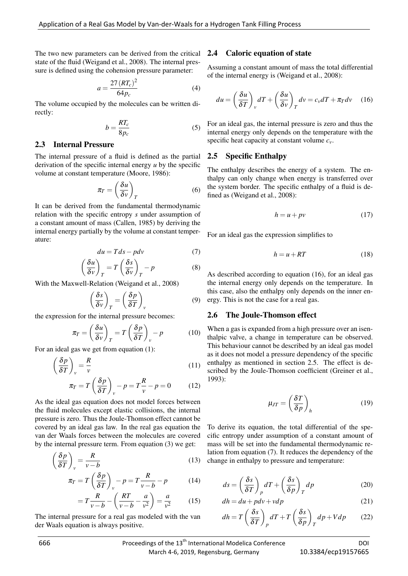The two new parameters can be derived from the critical state of the fluid (Weigand et al., 2008). The internal pressure is defined using the cohension pressure parameter:

$$
a = \frac{27 (RT_c)^2}{64 p_c}
$$
 (4)

The volume occupied by the molecules can be written directly:

$$
b = \frac{RT_c}{8p_c} \tag{5}
$$

#### 2.3 Internal Pressure

The internal pressure of a fluid is defined as the partial derivation of the specific internal energy *u* by the specific volume at constant temperature (Moore, 1986):

$$
\pi_T = \left(\frac{\delta u}{\delta v}\right)_T \tag{6}
$$

It can be derived from the fundamental thermodynamic relation with the specific entropy *s* under assumption of a constant amount of mass (Callen, 1985) by deriving the internal energy partially by the volume at constant temperature:

$$
du = Tds - pdv \tag{7}
$$

$$
\left(\frac{\delta u}{\delta v}\right)_T = T \left(\frac{\delta s}{\delta v}\right)_T - p \tag{8}
$$

With the Maxwell-Relation (Weigand et al., 2008)

$$
\left(\frac{\delta s}{\delta v}\right)_T = \left(\frac{\delta p}{\delta T}\right)_v \tag{9}
$$

the expression for the internal pressure becomes:

$$
\pi_T = \left(\frac{\delta u}{\delta v}\right)_T = T \left(\frac{\delta p}{\delta T}\right)_v - p \tag{10}
$$

For an ideal gas we get from equation (1):

$$
\left(\frac{\delta p}{\delta T}\right)_v = \frac{R}{v} \tag{11}
$$

$$
\pi_T = T \left( \frac{\delta p}{\delta T} \right)_v - p = T \frac{R}{v} - p = 0 \tag{12}
$$

As the ideal gas equation does not model forces between the fluid molecules except elastic collisions, the internal pressure is zero. Thus the Joule-Thomson effect cannot be covered by an ideal gas law. In the real gas equation the van der Waals forces between the molecules are covered by the internal pressure term. From equation (3) we get:

$$
\left(\frac{\delta p}{\delta T}\right)_v = \frac{R}{v - b} \tag{13}
$$

$$
\pi_T = T \left( \frac{\delta p}{\delta T} \right)_v - p = T \frac{R}{v - b} - p \tag{14}
$$

$$
=T\frac{R}{v-b} - \left(\frac{RT}{v-b} - \frac{a}{v^2}\right) = \frac{a}{v^2} \tag{15}
$$

The internal pressure for a real gas modeled with the van der Waals equation is always positive.

#### 2.4 Caloric equation of state

Assuming a constant amount of mass the total differential of the internal energy is (Weigand et al., 2008):

$$
du = \left(\frac{\delta u}{\delta T}\right)_v dT + \left(\frac{\delta u}{\delta v}\right)_T dv = c_v dT + \pi_T dv \quad (16)
$$

For an ideal gas, the internal pressure is zero and thus the internal energy only depends on the temperature with the specific heat capacity at constant volume *cv*.

#### 2.5 Specific Enthalpy

The enthalpy describes the energy of a system. The enthalpy can only change when energy is transferred over the system border. The specific enthalpy of a fluid is defined as (Weigand et al., 2008):

$$
h = u + pv \tag{17}
$$

For an ideal gas the expression simplifies to

$$
h = u + RT \tag{18}
$$

(9) ergy. This is not the case for a real gas. As described according to equation (16), for an ideal gas the internal energy only depends on the temperature. In this case, also the enthalpy only depends on the inner en-

#### 2.6 The Joule-Thomson effect

When a gas is expanded from a high pressure over an isenthalpic valve, a change in temperature can be observed. This behaviour cannot be described by an ideal gas model as it does not model a pressure dependency of the specific enthalpy as mentioned in section 2.5. The effect is described by the Joule-Thomson coefficient (Greiner et al., 1993):

$$
\mu_{JT} = \left(\frac{\delta T}{\delta p}\right)_h \tag{19}
$$

To derive its equation, the total differential of the specific entropy under assumption of a constant amount of mass will be set into the fundamental thermodynamic relation from equation (7). It reduces the dependency of the change in enthalpy to pressure and temperature:

$$
ds = \left(\frac{\delta s}{\delta T}\right)_p dT + \left(\frac{\delta s}{\delta p}\right)_T dp \tag{20}
$$

$$
dh = du + p dv + v dp \tag{21}
$$

$$
dh = T\left(\frac{\delta s}{\delta T}\right)_p dT + T\left(\frac{\delta s}{\delta p}\right)_T dp + Vdp \qquad (22)
$$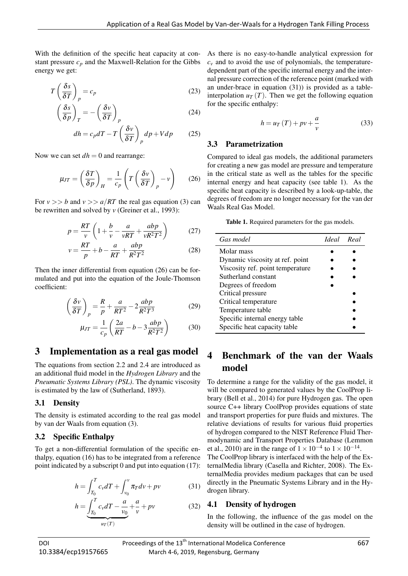With the definition of the specific heat capacity at constant pressure  $c_p$  and the Maxwell-Relation for the Gibbs energy we get:

$$
T\left(\frac{\delta s}{\delta T}\right)_p = c_p \tag{23}
$$

$$
\left(\frac{\delta s}{\delta p}\right)_T = -\left(\frac{\delta v}{\delta T}\right)_p\tag{24}
$$

$$
dh = c_p dT - T \left(\frac{\delta v}{\delta T}\right)_p dp + V dp \qquad (25)
$$

Now we can set  $dh = 0$  and rearrange:

$$
\mu_{JT} = \left(\frac{\delta T}{\delta p}\right)_H = \frac{1}{c_p} \left(T \left(\frac{\delta v}{\delta T}\right)_p - v\right) \tag{26}
$$

For  $v \gg b$  and  $v \gg a/RT$  the real gas equation (3) can be rewritten and solved by *v* (Greiner et al., 1993):

$$
p = \frac{RT}{v} \left( 1 + \frac{b}{v} - \frac{a}{vRT} + \frac{abp}{vR^2T^2} \right) \tag{27}
$$

$$
v = \frac{RT}{p} + b - \frac{a}{RT} + \frac{abp}{R^2T^2}
$$
 (28)

Then the inner differential from equation (26) can be formulated and put into the equation of the Joule-Thomson coefficient:

$$
\left(\frac{\delta v}{\delta T}\right)_p = \frac{R}{p} + \frac{a}{RT^2} - 2\frac{abp}{R^2T^3}
$$
 (29)

$$
\mu_{JT} = \frac{1}{c_p} \left( \frac{2a}{RT} - b - 3 \frac{abp}{R^2 T^2} \right) \tag{30}
$$

### 3 Implementation as a real gas model

The equations from section 2.2 and 2.4 are introduced as an additional fluid model in the *Hydrogen Library* and the *Pneumatic Systems Library (PSL)*. The dynamic viscosity is estimated by the law of (Sutherland, 1893).

#### 3.1 Density

The density is estimated according to the real gas model by van der Waals from equation (3).

#### 3.2 Specific Enthalpy

To get a non-differential formulation of the specific enthalpy, equation (16) has to be integrated from a reference point indicated by a subscript 0 and put into equation (17):

$$
h = \int_{T_0}^{T} c_v dT + \int_{v_0}^{v} \pi_T dv + pv \tag{31}
$$

$$
h = \underbrace{\int_{T_0}^{T} c_v dT - \frac{a}{v_0} + \frac{a}{v} + pv}_{u_T(T)}
$$
(32)

As there is no easy-to-handle analytical expression for  $c<sub>v</sub>$  and to avoid the use of polynomials, the temperaturedependent part of the specific internal energy and the internal pressure correction of the reference point (marked with an under-brace in equation (31)) is provided as a tableinterpolation  $u_T(T)$ . Then we get the following equation for the specific enthalpy:

$$
h = u_T(T) + pv + \frac{a}{v}
$$
\n(33)

#### 3.3 Parametrization

Compared to ideal gas models, the additional parameters for creating a new gas model are pressure and temperature in the critical state as well as the tables for the specific internal energy and heat capacity (see table 1). As the specific heat capacity is described by a look-up-table, the degrees of freedom are no longer necessary for the van der Waals Real Gas Model.

Table 1. Required parameters for the gas models.

| Gas model                        | Ideal Real |  |
|----------------------------------|------------|--|
| Molar mass                       |            |  |
| Dynamic viscosity at ref. point  |            |  |
| Viscosity ref. point temperature |            |  |
| Sutherland constant              |            |  |
| Degrees of freedom               |            |  |
| Critical pressure                |            |  |
| Critical temperature             |            |  |
| Temperature table                |            |  |
| Specific internal energy table   |            |  |
| Specific heat capacity table     |            |  |

## 4 Benchmark of the van der Waals model

To determine a range for the validity of the gas model, it will be compared to generated values by the CoolProp library (Bell et al., 2014) for pure Hydrogen gas. The open source C++ library CoolProp provides equations of state and transport properties for pure fluids and mixtures. The relative deviations of results for various fluid properties of hydrogen compared to the NIST Reference Fluid Thermodynamic and Transport Properties Database (Lemmon et al., 2010) are in the range of  $1 \times 10^{-4}$  to  $1 \times 10^{-14}$ . The CoolProp library is interfaced with the help of the ExternalMedia library (Casella and Richter, 2008). The ExternalMedia provides medium packages that can be used directly in the Pneumatic Systems Library and in the Hydrogen library.

#### 4.1 Density of hydrogen

In the following, the influence of the gas model on the density will be outlined in the case of hydrogen.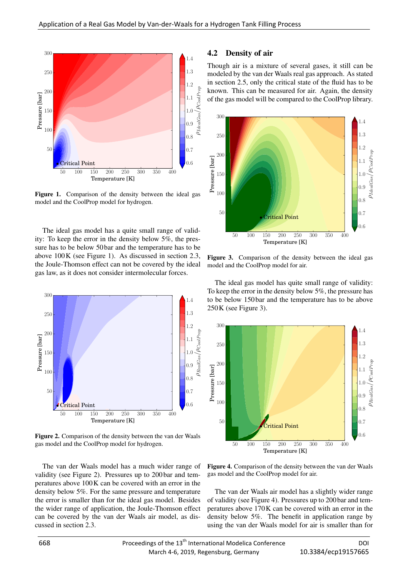

Figure 1. Comparison of the density between the ideal gas model and the CoolProp model for hydrogen.

The ideal gas model has a quite small range of validity: To keep the error in the density below 5%, the pressure has to be below 50 bar and the temperature has to be above 100K (see Figure 1). As discussed in section 2.3, the Joule-Thomson effect can not be covered by the ideal gas law, as it does not consider intermolecular forces.



Figure 2. Comparison of the density between the van der Waals gas model and the CoolProp model for hydrogen.

The van der Waals model has a much wider range of validity (see Figure 2). Pressures up to 200 bar and temperatures above 100K can be covered with an error in the density below 5%. For the same pressure and temperature the error is smaller than for the ideal gas model. Besides the wider range of application, the Joule-Thomson effect can be covered by the van der Waals air model, as discussed in section 2.3.

#### 4.2 Density of air

Though air is a mixture of several gases, it still can be modeled by the van der Waals real gas approach. As stated in section 2.5, only the critical state of the fluid has to be known. This can be measured for air. Again, the density of the gas model will be compared to the CoolProp library.



Figure 3. Comparison of the density between the ideal gas model and the CoolProp model for air.

The ideal gas model has quite small range of validity: To keep the error in the density below 5%, the pressure has to be below 150 bar and the temperature has to be above 250K (see Figure 3).



Figure 4. Comparison of the density between the van der Waals gas model and the CoolProp model for air.

The van der Waals air model has a slightly wider range of validity (see Figure 4). Pressures up to 200 bar and temperatures above 170K can be covered with an error in the density below 5%. The benefit in application range by using the van der Waals model for air is smaller than for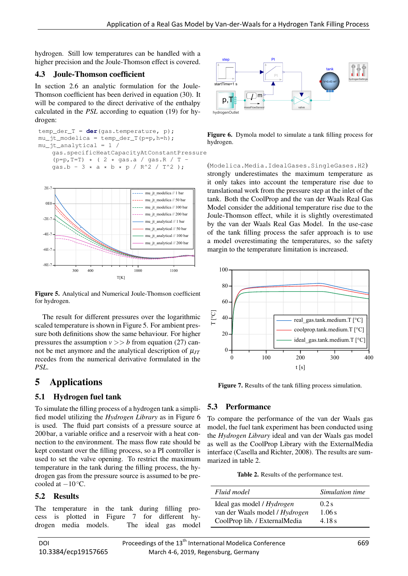hydrogen. Still low temperatures can be handled with a higher precision and the Joule-Thomson effect is covered.

### 4.3 Joule-Thomson coefficient

In section 2.6 an analytic formulation for the Joule-Thomson coefficient has been derived in equation (30). It will be compared to the direct derivative of the enthalpy calculated in the *PSL* according to equation (19) for hydrogen:

```
temp_der_T = der(gas.temperature, p);
mu_ft_modelica = temp_der_T(p=p,h=h);
mu_jt_analytical = 1 /
   gas.specificHeatCapacityAtConstantPressure
    (p=p, T=T) * ( 2 * gas.a / gas.R / T -
   gas.b - 3 * a * b * p / R^2 / T^2 );
```


Figure 5. Analytical and Numerical Joule-Thomson coefficient for hydrogen.

The result for different pressures over the logarithmic scaled temperature is shown in Figure 5. For ambient pressure both definitions show the same behaviour. For higher pressures the assumption  $v \gg b$  from equation (27) cannot be met anymore and the analytical description of  $\mu_{IT}$ recedes from the numerical derivative formulated in the *PSL*.

## 5 Applications

## 5.1 Hydrogen fuel tank

To simulate the filling process of a hydrogen tank a simplified model utilizing the *Hydrogen Library* as in Figure 6 is used. The fluid part consists of a pressure source at 200 bar, a variable orifice and a reservoir with a heat connection to the environment. The mass flow rate should be kept constant over the filling process, so a PI controller is used to set the valve opening. To restrict the maximum temperature in the tank during the filling process, the hydrogen gas from the pressure source is assumed to be precooled at  $-10 °C$ .

### 5.2 Results

The temperature in the tank during filling process is plotted in Figure 7 for different hy-



Figure 6. Dymola model to simulate a tank filling process for hydrogen.

(Modelica.Media.IdealGases.SingleGases.H2) strongly underestimates the maximum temperature as it only takes into account the temperature rise due to translational work from the pressure step at the inlet of the tank. Both the CoolProp and the van der Waals Real Gas Model consider the additional temperature rise due to the Joule-Thomson effect, while it is slightly overestimated by the van der Waals Real Gas Model. In the use-case of the tank filling process the safer approach is to use a model overestimating the temperatures, so the safety margin to the temperature limitation is increased.



Figure 7. Results of the tank filling process simulation.

## 5.3 Performance

To compare the performance of the van der Waals gas model, the fuel tank experiment has been conducted using the *Hydrogen Library* ideal and van der Waals gas model as well as the CoolProp Library with the ExternalMedia interface (Casella and Richter, 2008). The results are summarized in table 2.

Table 2. Results of the performance test.

| Fluid model                    | Simulation time |
|--------------------------------|-----------------|
| Ideal gas model / Hydrogen     | $0.2$ s         |
| van der Waals model / Hydrogen | 1.06s           |
| CoolProp lib. / ExternalMedia  | 4.18 s          |